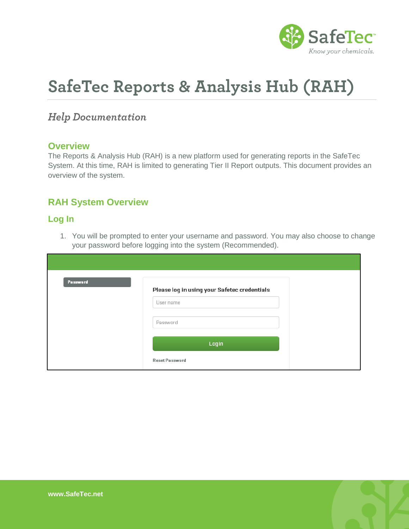

# **SafeTec Reports & Analysis Hub (RAH)**

# **Help Documentation**

## **Overview**

The Reports & Analysis Hub (RAH) is a new platform used for generating reports in the SafeTec System. At this time, RAH is limited to generating Tier II Report outputs. This document provides an overview of the system.

## **RAH System Overview**

## **Log In**

1. You will be prompted to enter your username and password. You may also choose to change your password before logging into the system (Recommended).

| Password | Please log in using your Safetec credentials |
|----------|----------------------------------------------|
|          | User name                                    |
|          | Password                                     |
|          | Login                                        |
|          | <b>Reset Password</b>                        |

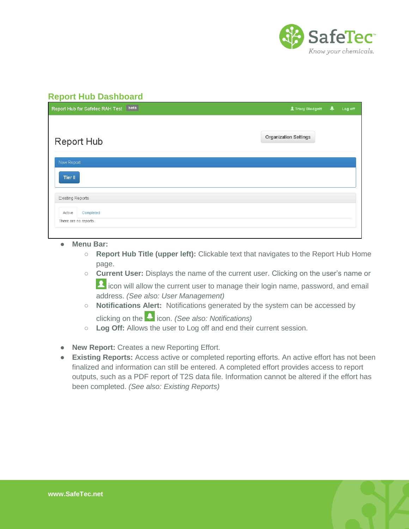

## **Report Hub Dashboard**

| Report Hub for Safetec RAH Test beta         | 北 Tracy Blodgett      | ▲ | Log off |
|----------------------------------------------|-----------------------|---|---------|
| <b>Report Hub</b>                            | Organization Settings |   |         |
| New Report<br>Tier II                        |                       |   |         |
| <b>Existing Reports</b>                      |                       |   |         |
| Active<br>Completed<br>There are no reports. |                       |   |         |

- **Menu Bar:** 
	- **Report Hub Title (upper left):** Clickable text that navigates to the Report Hub Home page.
	- **Current User:** Displays the name of the current user. Clicking on the user's name or **1** icon will allow the current user to manage their login name, password, and email address. *(See also: User Management)*
	- **Notifications Alert:** Notifications generated by the system can be accessed by clicking on the **interpreneum** *(See also: Notifications)* 
		-
	- **Log Off:** Allows the user to Log off and end their current session.
- **New Report:** Creates a new Reporting Effort.
- **Existing Reports:** Access active or completed reporting efforts. An active effort has not been finalized and information can still be entered. A completed effort provides access to report outputs, such as a PDF report of T2S data file. Information cannot be altered if the effort has been completed. *(See also: Existing Reports)*

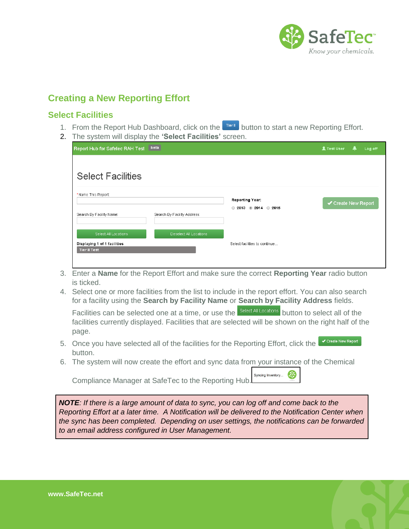

# **Creating a New Reporting Effort**

## **Select Facilities**

- 1. From the Report Hub Dashboard, click on the **DRAFT Button to start a new Reporting Effort.**
- 2. The system will display the **'Select Facilities'** screen.

| Report Hub for Safetec RAH Test                                             | [beta]                      |                               | <b>上 Test User</b>  | Log off<br>ड़ |
|-----------------------------------------------------------------------------|-----------------------------|-------------------------------|---------------------|---------------|
| <b>Select Facilities</b><br>*Name This Report:                              |                             | Reporting Year:               |                     |               |
| Search By Facility Name:                                                    | Search By Facility Address: | 2013 2014 2015<br>$\bigcirc$  | ← Create New Report |               |
| Select All Locations<br>Displaying 1 of 1 facilities<br><b>Tier II Test</b> | Deselect All Locations      | Select facilities to continue |                     |               |

- 3. Enter a **Name** for the Report Effort and make sure the correct **Reporting Year** radio button is ticked.
- 4. Select one or more facilities from the list to include in the report effort. You can also search for a facility using the **Search by Facility Name** or **Search by Facility Address** fields.

Facilities can be selected one at a time, or use the **Select All Locations** button to select all of the facilities currently displayed. Facilities that are selected will be shown on the right half of the page.

- 5. Once you have selected all of the facilities for the Reporting Effort, click the **Create New Report** button.
- 6. The system will now create the effort and sync data from your instance of the Chemical

Syncing Inventory... Compliance Manager at SafeTec to the Reporting Hub.

*NOTE: If there is a large amount of data to sync, you can log off and come back to the Reporting Effort at a later time. A Notification will be delivered to the Notification Center when the sync has been completed. Depending on user settings, the notifications can be forwarded to an email address configured in User Management.*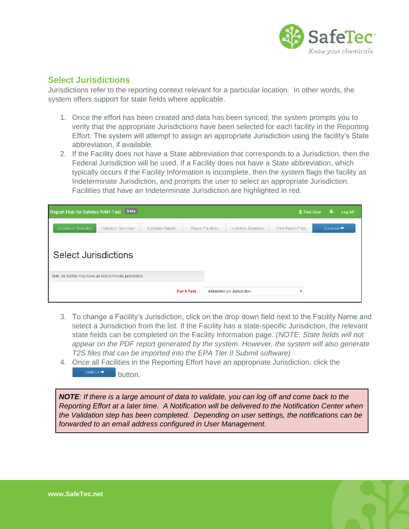

## **Select Jurisdictions**

Jurisdictions refer to the reporting context relevant for a particular location. In other words, the system offers support for state fields where applicable.

- 1. Once the effort has been created and data has been synced, the system prompts you to verify that the appropriate Jurisdictions have been selected for each facility in the Reporting Effort. The system will attempt to assign an appropriate Jurisdiction using the facility's State abbreviation, if available.
- 2. If the Facility does not have a State abbreviation that corresponds to a Jurisdiction, then the Federal Jurisdiction will be used. If a Facility does not have a State abbreviation, which typically occurs if the Facility Information is incomplete, then the system flags the facility as Indeterminate Jurisdiction, and prompts the user to select an appropriate Jurisdiction. Facilities that have an Indeterminate Jurisdiction are highlighted in red.

| Report Hub for Safetec RAH Test                           | beta               |                  |                     |                   |                            | <b>北 Test User</b> |                        | Log off |
|-----------------------------------------------------------|--------------------|------------------|---------------------|-------------------|----------------------------|--------------------|------------------------|---------|
| Jurisdiction Selection                                    | Validation Summary | Calculate Report |                     | Report Facilities | Inventory Summary          | View Report Files  | Continue $\rightarrow$ |         |
| <b>Select Jurisdictions</b>                               |                    |                  |                     |                   |                            |                    |                        |         |
| Note: No facility may have an indeterminate jurisdiction. |                    |                  |                     |                   |                            |                    |                        |         |
|                                                           |                    |                  | <b>Tier II Test</b> |                   | Indeterminate Jurisdiction |                    |                        |         |

- 3. To change a Facility's Jurisdiction, click on the drop down field next to the Facility Name and select a Jurisdiction from the list. If the Facility has a state-specific Jurisdiction, the relevant state fields can be completed on the Facility Information page. *(NOTE: State fields will not appear on the PDF report generated by the system. However, the system will also generate T2S files that can be imported into the EPA Tier II Submit software)*
- 4. Once all Facilities in the Reporting Effort have an appropriate Jurisdiction, click the Continue  $\rightarrow$ button.

*NOTE: If there is a large amount of data to validate, you can log off and come back to the Reporting Effort at a later time. A Notification will be delivered to the Notification Center when the Validation step has been completed. Depending on user settings, the notifications can be forwarded to an email address configured in User Management.*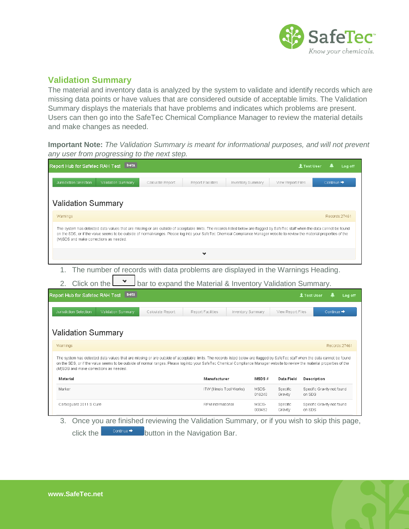

## **Validation Summary**

The material and inventory data is analyzed by the system to validate and identify records which are missing data points or have values that are considered outside of acceptable limits. The Validation Summary displays the materials that have problems and indicates which problems are present. Users can then go into the SafeTec Chemical Compliance Manager to review the material details and make changes as needed.

**Important Note:** *The Validation Summary is meant for informational purposes, and will not prevent any user from progressing to the next step.*

| Report Hub for Safetec RAH Test                                                                                                                                                                                                                                                                                                                                                                        | beta             |                           |                   |                     | <b>上 Test User</b><br>Log off               |  |  |  |  |
|--------------------------------------------------------------------------------------------------------------------------------------------------------------------------------------------------------------------------------------------------------------------------------------------------------------------------------------------------------------------------------------------------------|------------------|---------------------------|-------------------|---------------------|---------------------------------------------|--|--|--|--|
| Jurisdiction Selection<br>Validation Summary                                                                                                                                                                                                                                                                                                                                                           | Calculate Report | Report Facilities         | Inventory Summary | View Report Files   | Continue $\rightarrow$                      |  |  |  |  |
| <b>Validation Summary</b>                                                                                                                                                                                                                                                                                                                                                                              |                  |                           |                   |                     |                                             |  |  |  |  |
| Warnings                                                                                                                                                                                                                                                                                                                                                                                               |                  |                           |                   |                     | Records: 27461                              |  |  |  |  |
| The system has detected data values that are missing or are outside of acceptable limits. The records listed below are flagged by SafeTec staff when the data cannot be found<br>on the SDS, or if the value seems to be outside of normal ranges. Please log into your SafeTec Chemical Compliance Manager website to review the material properties of the<br>(M)SDS and make corrections as needed. |                  |                           |                   |                     |                                             |  |  |  |  |
|                                                                                                                                                                                                                                                                                                                                                                                                        |                  | ❤                         |                   |                     |                                             |  |  |  |  |
| The number of records with data problems are displayed in the Warnings Heading.<br>1.<br>bar to expand the Material & Inventory Validation Summary.<br>Click on the<br>2.                                                                                                                                                                                                                              |                  |                           |                   |                     |                                             |  |  |  |  |
|                                                                                                                                                                                                                                                                                                                                                                                                        | beta             |                           |                   |                     |                                             |  |  |  |  |
| Report Hub for Safetec RAH Test<br>Jurisdiction Selection<br>Validation Summary                                                                                                                                                                                                                                                                                                                        | Calculate Report | Report Facilities         | Inventory Summary | View Report Files   | <b>北 Test User</b><br>Log off<br>Continue → |  |  |  |  |
| <b>Validation Summary</b>                                                                                                                                                                                                                                                                                                                                                                              |                  |                           |                   |                     |                                             |  |  |  |  |
| Warnings                                                                                                                                                                                                                                                                                                                                                                                               |                  |                           |                   |                     | Records: 27461                              |  |  |  |  |
| The system has detected data values that are missing or are outside of acceptable limits. The records listed below are flagged by SafeTec staff when the data cannot be found<br>on the SDS, or if the value seems to be outside of normal ranges. Please log into your SafeTec Chemical Compliance Manager website to review the material properties of the<br>(M)SDS and make corrections as needed. |                  |                           |                   |                     |                                             |  |  |  |  |
| Material                                                                                                                                                                                                                                                                                                                                                                                               |                  | Manufacturer              | MSDS#             | Data Field          | Description                                 |  |  |  |  |
| Marker                                                                                                                                                                                                                                                                                                                                                                                                 |                  | ITW (Illinois Tool Works) | MSDS-<br>016240   | Specific<br>Gravity | Specific Gravity not found<br>on SDS        |  |  |  |  |

3. Once you are finished reviewing the Validation Summary, or if you wish to skip this page, click the  $\overline{b}$ <sup>continue  $\rightarrow$ </sup> button in the Navigation Bar.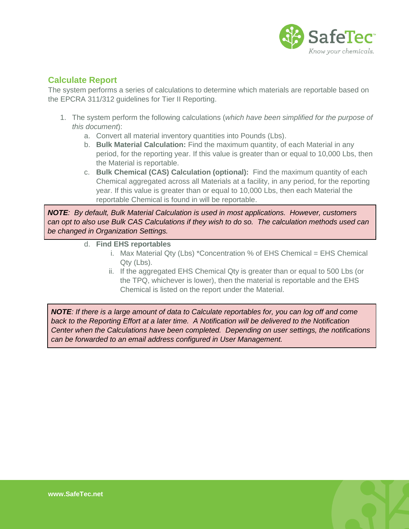

## **Calculate Report**

The system performs a series of calculations to determine which materials are reportable based on the EPCRA 311/312 guidelines for Tier II Reporting.

- 1. The system perform the following calculations (*which have been simplified for the purpose of this document*):
	- a. Convert all material inventory quantities into Pounds (Lbs).
	- b. **Bulk Material Calculation:** Find the maximum quantity, of each Material in any period, for the reporting year. If this value is greater than or equal to 10,000 Lbs, then the Material is reportable.
	- c. **Bulk Chemical (CAS) Calculation (optional):** Find the maximum quantity of each Chemical aggregated across all Materials at a facility, in any period, for the reporting year. If this value is greater than or equal to 10,000 Lbs, then each Material the reportable Chemical is found in will be reportable.

*NOTE: By default, Bulk Material Calculation is used in most applications. However, customers can opt to also use Bulk CAS Calculations if they wish to do so. The calculation methods used can be changed in Organization Settings.*

- d. **Find EHS reportables**
	- i. Max Material Qty (Lbs) \*Concentration % of EHS Chemical = EHS Chemical Qty (Lbs).
	- ii. If the aggregated EHS Chemical Qty is greater than or equal to 500 Lbs (or the TPQ, whichever is lower), then the material is reportable and the EHS Chemical is listed on the report under the Material.

*NOTE: If there is a large amount of data to Calculate reportables for, you can log off and come back to the Reporting Effort at a later time. A Notification will be delivered to the Notification Center when the Calculations have been completed. Depending on user settings, the notifications can be forwarded to an email address configured in User Management.*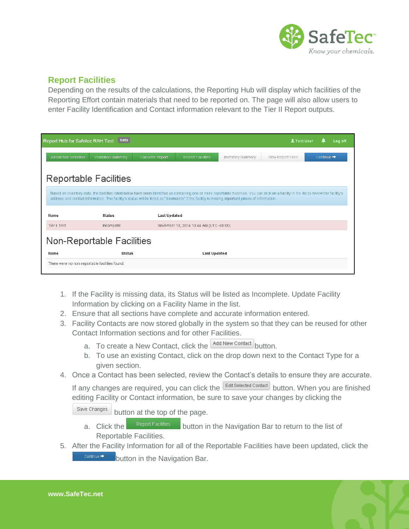

## **Report Facilities**

Depending on the results of the calculations, the Reporting Hub will display which facilities of the Reporting Effort contain materials that need to be reported on. The page will also allow users to enter Facility Identification and Contact information relevant to the Tier II Report outputs.

| Report Hub for Safetec RAH Test                | <b>beta</b>                                                                                                                                                                                                                                                                                                                                     |                     |                                         |                   | <b>北 Test User</b> | Log off                |
|------------------------------------------------|-------------------------------------------------------------------------------------------------------------------------------------------------------------------------------------------------------------------------------------------------------------------------------------------------------------------------------------------------|---------------------|-----------------------------------------|-------------------|--------------------|------------------------|
| Jurisdiction Selection                         | Validation Summary                                                                                                                                                                                                                                                                                                                              | Calculate Report    | Report Facilities                       | Inventory Summary | View Report Files  | Continue $\rightarrow$ |
|                                                | <b>Reportable Facilities</b>                                                                                                                                                                                                                                                                                                                    |                     |                                         |                   |                    |                        |
|                                                | Based on inventory data, the facilities listed below have been identified as containing one or more reportable materials. You can click on a facility in the list to review the facility's<br>address and contact information. The facility's status will be listed as "Incomplete" if the facility is missing important pieces of information. |                     |                                         |                   |                    |                        |
| Name                                           | <b>Status</b>                                                                                                                                                                                                                                                                                                                                   | <b>Last Updated</b> |                                         |                   |                    |                        |
| Tier II Test                                   | Incomplete                                                                                                                                                                                                                                                                                                                                      |                     | November 10, 2014 10:44 AM (UTC -08:00) |                   |                    |                        |
| Non-Reportable Facilities                      |                                                                                                                                                                                                                                                                                                                                                 |                     |                                         |                   |                    |                        |
| Name                                           | <b>Status</b>                                                                                                                                                                                                                                                                                                                                   |                     | <b>Last Updated</b>                     |                   |                    |                        |
| There were no non-reportable facilities found. |                                                                                                                                                                                                                                                                                                                                                 |                     |                                         |                   |                    |                        |

- 1. If the Facility is missing data, its Status will be listed as Incomplete. Update Facility Information by clicking on a Facility Name in the list.
- 2. Ensure that all sections have complete and accurate information entered.
- 3. Facility Contacts are now stored globally in the system so that they can be reused for other Contact Information sections and for other Facilities.
	- a. To create a New Contact, click the Add New Contact button.
	- b. To use an existing Contact, click on the drop down next to the Contact Type for a given section.
- 4. Once a Contact has been selected, review the Contact's details to ensure they are accurate.

If any changes are required, you can click the  $\sqrt{\frac{E\text{dit Selected Control}}{E}}$  button. When you are finished editing Facility or Contact information, be sure to save your changes by clicking the

Save Changes button at the top of the page.

- a. Click the **Report Facilities** button in the Navigation Bar to return to the list of Reportable Facilities.
- 5. After the Facility Information for all of the Reportable Facilities have been updated, click the Continue  $\rightarrow$ button in the Navigation Bar.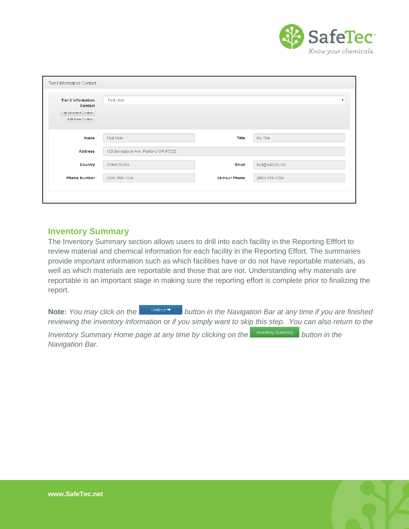

| Tier II Information Contact                                                       |                                      |               |                  |
|-----------------------------------------------------------------------------------|--------------------------------------|---------------|------------------|
| <b>Tier II Information</b><br>Contact<br>Edit Selected Contact<br>Add New Contact | Test User                            |               | $\mathbf{v}$     |
| Name                                                                              | Test User                            | Title         | My Title         |
| <b>Address</b>                                                                    | 123 Someplace Ave. Portland OR 97222 |               |                  |
| Country                                                                           | United States                        | Email         | test@safetec.net |
| <b>Phone Number</b>                                                               | (888) 555-1234                       | 24-hour Phone | (888) 555-1234   |
|                                                                                   |                                      |               |                  |

#### **Inventory Summary**

The Inventory Summary section allows users to drill into each facility in the Reporting Efffort to review material and chemical information for each facility in the Reporting Effort. The summaries provide important information such as which facilities have or do not have reportable materials, as well as which materials are reportable and those that are not. Understanding why materials are reportable is an important stage in making sure the reporting effort is complete prior to finalizing the report.

Note: You may click on the **button in the Navigation Bar at any time if you are finished** *reviewing the inventory information or if you simply want to skip this step. You can also return to the* 

*Inventory Summary Home page at any time by clicking on the buttory Summary* button in the *Navigation Bar.*

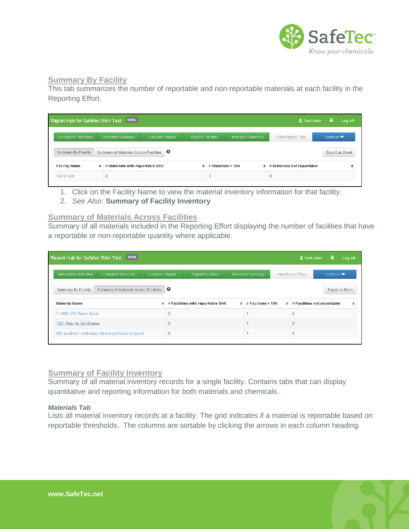

#### **Summary By Facility**

This tab summarizes the number of reportable and non-reportable materials at each facility in the Reporting Effort.

| Report Hub for Safetec RAH Test |   | beta                                       |                  |                   |                   |                   | <b>北 Test User</b>         | Log off<br>ш           |
|---------------------------------|---|--------------------------------------------|------------------|-------------------|-------------------|-------------------|----------------------------|------------------------|
| Jurisdiction Selection          |   | Validation Summary                         | Calculate Report | Report Facilities |                   | Inventory Summary | View Report Files          | Continue $\Rightarrow$ |
| Summary By Facility             |   | Summary of Materials Across Facilities   O |                  |                   |                   |                   |                            | Export as Excel        |
| <b>Facility Name</b>            | ٠ | # Materials with reportable EHS            |                  | ٠                 | # Materials > 10K | ٠                 | # Materials not reportable |                        |
| Tier II Test                    |   | 0                                          |                  |                   | 3                 |                   |                            |                        |

- 1. Click on the Facility Name to view the material inventory information for that facility.
- 2. *See Also:* **Summary of Facility Inventory**

#### **Summary of Materials Across Facilities**

Summary of all materials included in the Reporting Effort displaying the number of facilities that have a reportable or non-reportable quantity where applicable.

| beta<br>Report Hub for Safetec RAH Test                                  |                  |                                  |   |                    |           | <b>北 Test User</b> | ᆂ                           | Log off |
|--------------------------------------------------------------------------|------------------|----------------------------------|---|--------------------|-----------|--------------------|-----------------------------|---------|
| Jurisdiction Selection<br>Validation Summary                             | Calculate Report | <b>Report Facilities</b>         |   | Inventory Summary  |           | View Report Files  | Continue $\rightarrow$      |         |
| Summary of Materials Across Facilities $\bigcirc$<br>Summary By Facility |                  |                                  |   |                    |           |                    | Export as Excel             |         |
| <b>Material Name</b>                                                     | ٠                | # Facilities with reportable EHS | ٠ | # Facilities > 10K | $\bullet$ |                    | # Facilities not reportable | ٠       |
| 11-955 LFD Raven Black                                                   |                  |                                  |   |                    |           | 0                  |                             |         |
| 1201 Red, Air-Dry Enamel                                                 |                  |                                  |   |                    |           | n                  |                             |         |
| 380 aluminum contractos silicone professional grade                      |                  |                                  |   |                    |           | 0                  |                             |         |

#### **Summary of Facility Inventory**

Summary of all material inventory records for a single facility. Contains tabs that can display quantitative and reporting information for both materials and chemicals.

#### *Materials Tab*

Lists all material inventory records at a facility. The grid indicates if a material is reportable based on reportable thresholds. The columns are sortable by clicking the arrows in each column heading.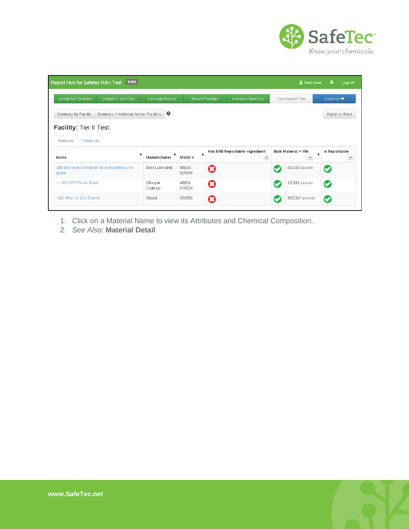

| beta<br>Report Hub for Safetec RAH Test                       |                        |                               |                       |                                                           |           | <b>北 Test User</b>                                           | Log off<br>┻                              |
|---------------------------------------------------------------|------------------------|-------------------------------|-----------------------|-----------------------------------------------------------|-----------|--------------------------------------------------------------|-------------------------------------------|
| Jurisdiction Selection<br>Validation Summary                  | Calculate Report       | Report Facilities             |                       | Inventory Summary                                         |           | View Report Files                                            | Continue $\rightarrow$                    |
| Summary of Materials Across Facilities<br>Summary By Facility | $\bullet$              |                               |                       |                                                           |           |                                                              | Export as Excel                           |
| Facility: Tier II Test<br>Materials<br>Chemicals              |                        |                               |                       |                                                           |           |                                                              |                                           |
| ÷<br>Name                                                     | Manufacturer           | $\ddot{\phantom{1}}$<br>MSDS# |                       | Has EHS Reportable Ingredient<br>$\overline{\phantom{a}}$ |           | Bulk Material > 10k<br>$\bullet$<br>$\overline{\phantom{a}}$ | Is Reportable<br>$\overline{\phantom{a}}$ |
| 380 aluminum contractos silicone professional<br>grade        | <b>Boss Lubricants</b> | MSDS-<br>009698               | $\boldsymbol{\Omega}$ |                                                           | Ø         | 83,400 pounds                                                | Ø                                         |
| 11-955 LED Raven Black                                        | Gillespie<br>Coatings  | MSDS-<br>018024               | Ø                     |                                                           | $\bullet$ | 20,000 pounds                                                | $\bm{\circ}$                              |
| 1201 Red, Air-Dry Enamel                                      | Glyptal                | 002583                        | $\boldsymbol{\Omega}$ |                                                           | C         | 652,324 pounds                                               | $\bm{\circ}$                              |

- 1. Click on a Material Name to view its Attributes and Chemical Composition.
- 2. *See Also:* **Material Detail**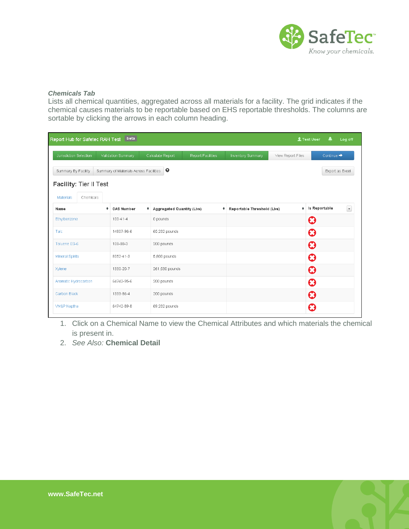

#### *Chemicals Tab*

Lists all chemical quantities, aggregated across all materials for a facility. The grid indicates if the chemical causes materials to be reportable based on EHS reportable thresholds. The columns are sortable by clicking the arrows in each column heading.

| Report Hub for Safetec RAH Test | beta                                   |                                  |                   |                            |                   | ▲<br><b>上 Test User</b> | Log off                  |
|---------------------------------|----------------------------------------|----------------------------------|-------------------|----------------------------|-------------------|-------------------------|--------------------------|
| Jurisdiction Selection          | Validation Summary                     | Calculate Report                 | Report Facilities | Inventory Summary          | View Report Files | Continue $\rightarrow$  |                          |
| Summary By Facility             | Summary of Materials Across Facilities | $\bullet$                        |                   |                            |                   | Export as Excel         |                          |
| Facility: Tier II Test          |                                        |                                  |                   |                            |                   |                         |                          |
| Materials<br>Chemicals          |                                        |                                  |                   |                            |                   |                         |                          |
| Name                            | ٠<br><b>CAS Number</b><br>٠            | <b>Aggregated Quantity (Lbs)</b> | ٠                 | Reportable Threshold (Lbs) | $\bullet$         | Is Reportable           | $\overline{\phantom{a}}$ |
| Ethylbenzene                    | $100 - 41 - 4$                         | 0 pounds                         |                   |                            |                   | Ø                       |                          |
| Talc                            | 14807-96-6                             | 65,232 pounds                    |                   |                            |                   | Ø                       |                          |
| Toluene ES-6                    | 108-88-3                               | 200 pounds                       |                   |                            |                   | Ø                       |                          |
| <b>Mineral Spirits</b>          | 8052-41-3                              | 5,800 pounds                     |                   |                            |                   | Ø                       |                          |
| Xylene                          | 1330-20-7                              | 261,530 pounds                   |                   |                            |                   | Ø                       |                          |
| Aromatic Hydrocarbon            | 64742-95-6                             | 200 pounds                       |                   |                            |                   | Ø                       |                          |
| Carbon Black                    | 1333-86-4                              | 200 pounds                       |                   |                            |                   | Ø                       |                          |
| VM&P Naptha                     | 64742-89-8                             | 69,232 pounds                    |                   |                            |                   | Ø                       |                          |

1. Click on a Chemical Name to view the Chemical Attributes and which materials the chemical is present in.

2. *See Also:* **Chemical Detail**

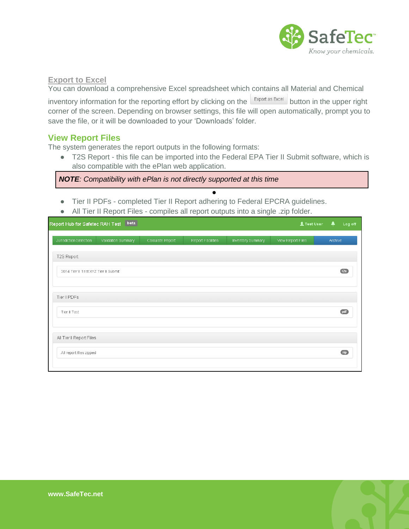

#### **Export to Excel**

You can download a comprehensive Excel spreadsheet which contains all Material and Chemical

inventory information for the reporting effort by clicking on the  $\mathbb{E}_{\text{spot}}$  as Excel button in the upper right corner of the screen. Depending on browser settings, this file will open automatically, prompt you to save the file, or it will be downloaded to your 'Downloads' folder.

## **View Report Files**

The system generates the report outputs in the following formats:

● T2S Report - this file can be imported into the Federal EPA Tier II Submit software, which is also compatible with the ePlan web application.

●

*NOTE: Compatibility with ePlan is not directly supported at this time*

- Tier II PDFs completed Tier II Report adhering to Federal EPCRA guidelines.
- All Tier II Report Files compiles all report outputs into a single .zip folder.

| Report Hub for Safetec RAH Test   beta |                    |                  |                   |                   | <b>1</b> Test User | ▲<br>Log off     |
|----------------------------------------|--------------------|------------------|-------------------|-------------------|--------------------|------------------|
| Jurisdiction Selection                 | Validation Summary | Calculate Report | Report Facilities | Inventory Summary | View Report Files  | Archive          |
| T2S Report                             |                    |                  |                   |                   |                    |                  |
| 2014 Tier II Test XYZ Tier II Submit   |                    |                  |                   |                   |                    | t2s              |
|                                        |                    |                  |                   |                   |                    |                  |
| Tier II PDFs                           |                    |                  |                   |                   |                    |                  |
| Tier II Test                           |                    |                  |                   |                   |                    | pdf              |
|                                        |                    |                  |                   |                   |                    |                  |
| All Tier II Report Files               |                    |                  |                   |                   |                    |                  |
| All report files zipped                |                    |                  |                   |                   |                    | $\overline{zip}$ |
|                                        |                    |                  |                   |                   |                    |                  |

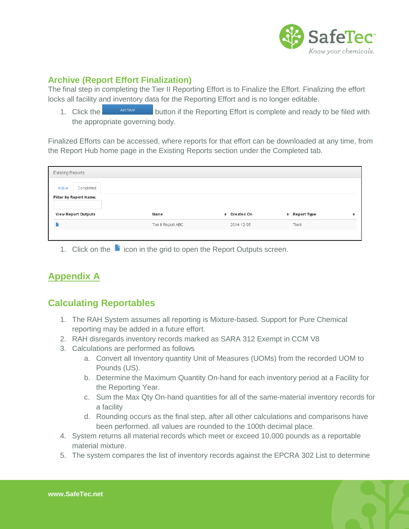

## **Archive (Report Effort Finalization)**

The final step in completing the Tier II Reporting Effort is to Finalize the Effort. Finalizing the effort locks all facility and inventory data for the Reporting Effort and is no longer editable.

1. Click the **button if the Reporting Effort is complete** and ready to be filed with the appropriate governing body.

Finalized Efforts can be accessed, where reports for that effort can be downloaded at any time, from the Report Hub home page in the Existing Reports section under the Completed tab.

| <b>Existing Reports</b>    |                    |              |               |   |
|----------------------------|--------------------|--------------|---------------|---|
| Completed<br>Active        |                    |              |               |   |
| Filter by Report Name:     |                    |              |               |   |
| <b>View Report Outputs</b> | Name               | + Created On | + Report Type | ٠ |
|                            | Tier II Report ABC | 2014-12-05   | Tierll        |   |
|                            |                    |              |               |   |

1. Click on the  $\blacksquare$  icon in the grid to open the Report Outputs screen.

# **Appendix A**

# **Calculating Reportables**

- 1. The RAH System assumes all reporting is Mixture-based. Support for Pure Chemical reporting may be added in a future effort.
- 2. RAH disregards inventory records marked as SARA 312 Exempt in CCM V8
- 3. Calculations are performed as follows
	- a. Convert all Inventory quantity Unit of Measures (UOMs) from the recorded UOM to Pounds (US).
	- b. Determine the Maximum Quantity On-hand for each inventory period at a Facility for the Reporting Year.
	- c. Sum the Max Qty On-hand quantities for all of the same-material inventory records for a facility
	- d. Rounding occurs as the final step, after all other calculations and comparisons have been performed. all values are rounded to the 100th decimal place.
- 4. System returns all material records which meet or exceed 10,000 pounds as a reportable material mixture.
- 5. The system compares the list of inventory records against the EPCRA 302 List to determine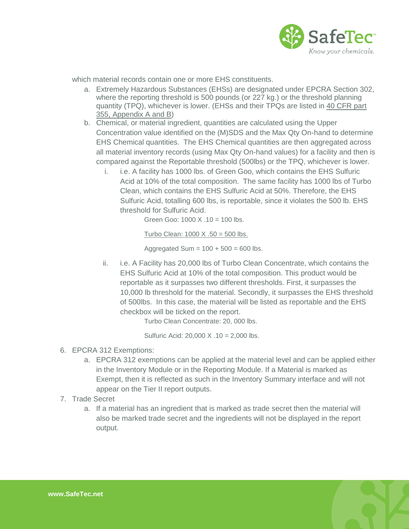

which material records contain one or more EHS constituents.

- a. Extremely Hazardous Substances (EHSs) are designated under EPCRA Section 302, where the reporting threshold is 500 pounds (or 227 kg.) or the threshold planning quantity (TPQ), whichever is lower. (EHSs and their TPQs are listed in 40 CFR part [355, Appendix A and B\)](http://www.ecfr.gov/cgi-bin/text-idx?c=ecfr&tpl=/ecfrbrowse/Title40/40cfr355_main_02.tpl)
- b. Chemical, or material ingredient, quantities are calculated using the Upper Concentration value identified on the (M)SDS and the Max Qty On-hand to determine EHS Chemical quantities. The EHS Chemical quantities are then aggregated across all material inventory records (using Max Qty On-hand values) for a facility and then is compared against the Reportable threshold (500lbs) or the TPQ, whichever is lower.
	- i. i.e. A facility has 1000 lbs. of Green Goo, which contains the EHS Sulfuric Acid at 10% of the total composition. The same facility has 1000 lbs of Turbo Clean, which contains the EHS Sulfuric Acid at 50%. Therefore, the EHS Sulfuric Acid, totalling 600 lbs, is reportable, since it violates the 500 lb. EHS threshold for Sulfuric Acid.

Green Goo: 1000 X .10 = 100 lbs.

Turbo Clean:  $1000 \times 0.50 = 500$  lbs.

Aggregated Sum =  $100 + 500 = 600$  lbs.

ii. i.e. A Facility has 20,000 lbs of Turbo Clean Concentrate, which contains the EHS Sulfuric Acid at 10% of the total composition. This product would be reportable as it surpasses two different thresholds. First, it surpasses the 10,000 lb threshold for the material. Secondly, it surpasses the EHS threshold of 500lbs. In this case, the material will be listed as reportable and the EHS checkbox will be ticked on the report.

Turbo Clean Concentrate: 20, 000 lbs.

Sulfuric Acid: 20,000 X .10 = 2,000 lbs.

- 6. EPCRA 312 Exemptions:
	- a. EPCRA 312 exemptions can be applied at the material level and can be applied either in the Inventory Module or in the Reporting Module. If a Material is marked as Exempt, then it is reflected as such in the Inventory Summary interface and will not appear on the Tier II report outputs.
- 7. Trade Secret
	- a. If a material has an ingredient that is marked as trade secret then the material will also be marked trade secret and the ingredients will not be displayed in the report output.